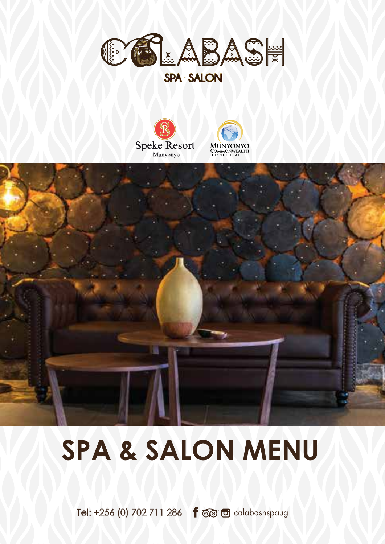







# **SPA & SALON MENU**

Tel: +256 (0) 702 711 286 **f** @ **f** calabashspaug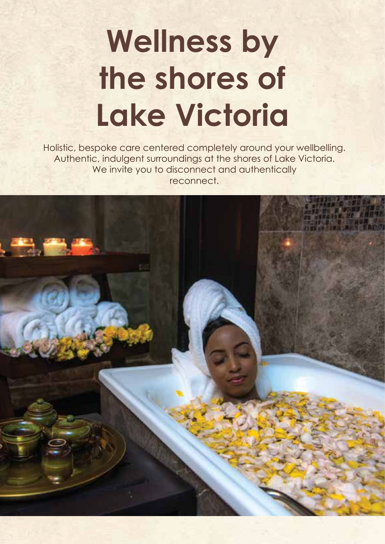# **Wellness by the shores of Lake Victoria**

Holistic, bespoke care centered completely around your wellbelling. Authentic, indulgent surroundings at the shores of Lake Victoria. We invite you to disconnect and authentically reconnect.

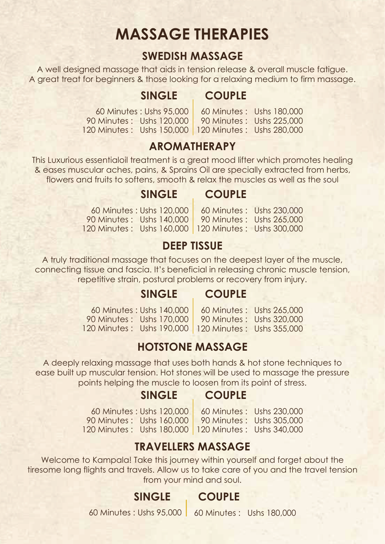# **MASSAGE THERAPIES**

#### **SWEDISH MASSAGE**

A well designed massage that aids in tension release & overall muscle fatigue. A great treat for beginners & those looking for a relaxing medium to firm massage.

#### **SINGLE COUPLE**

60 Minutes : Ushs 95,000 90 Minutes : Ushs 120,000 120 Minutes : Ushs 150,000 120 Minutes : Ushs 280,000 90 Minutes : Ushs 225,000 60 Minutes : Ushs 180,000

#### **AROMATHERAPY**

This Luxurious essentialoil treatment is a great mood lifter which promotes healing & eases muscular aches, pains, & Sprains Oil are specially extracted from herbs, flowers and fruits to softens, smooth & relax the muscles as well as the soul

#### **SINGLE COUPLE**

60 Minutes : Ushs 120,000 90 Minutes : Ushs 140,000 90 Minutes : Ushs 265,000 120 Minutes : Ushs 160,000 120 Minutes : Ushs 300,000 60 Minutes : Ushs 230,000

#### **DEEP TISSUE**

A truly traditional massage that focuses on the deepest layer of the muscle, connecting tissue and fascia. It's beneficial in releasing chronic muscle tension, repetitive strain, postural problems or recovery from injury.

#### **SINGLE COUPLE**

60 Minutes : Ushs 140,000 90 Minutes : Ushs 170,000 120 Minutes : Ushs 190,000 120 Minutes : Ushs 355,000 90 Minutes : Ushs 320,000 60 Minutes : Ushs 265,000

#### **HOTSTONE MASSAGE**

A deeply relaxing massage that uses both hands & hot stone techniques to ease built up muscular tension. Hot stones will be used to massage the pressure points helping the muscle to loosen from its point of stress.

#### **SINGLE COUPLE**

60 Minutes : Ushs 120,000 90 Minutes : Ushs 160,000 90 Minutes : Ushs 305,000 120 Minutes : Ushs 180,000 120 Minutes : Ushs 340,000

60 Minutes : Ushs 230,000

#### **TRAVELLERS MASSAGE**

Welcome to Kampala! Take this journey within yourself and forget about the tiresome long flights and travels. Allow us to take care of you and the travel tension from your mind and soul.

#### **SINGLE COUPLE**

60 Minutes : Ushs 95,000 60 Minutes : Ushs 180,000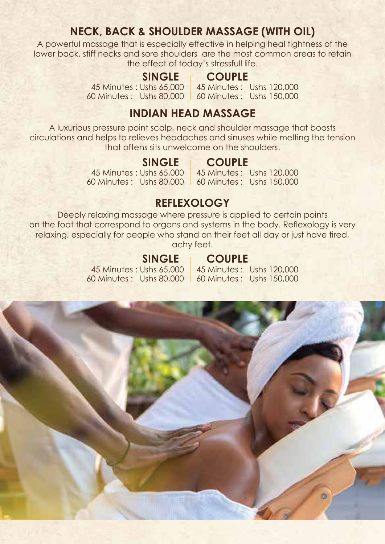#### **NECK, BACK & SHOULDER MASSAGE (WITH OIL)**

A powerful massage that is especially effective in helping heal tightness of the lower back, stiff necks and sore shoulders are the most common areas to retain the effect of today's stressfull life.

#### **SINGLE COUPLE**

45 Minutes : Ushs 65,000 45 Minutes : Ushs 120,000 60 Minutes : Ushs 80,000 60 Minutes : Ushs 150,000

#### **INDIAN HEAD MASSAGE**

A luxurious pressure point scalp, neck and shoulder massage that boosts circulations and helps to relieves headaches and sinuses while melting the tension that oftens sits unwelcome on the shoulders.

#### **SINGLE COUPLE**

45 Minutes : Ushs 65,000

45 Minutes : Ushs 120,000

60 Minutes : Ushs 80,000 60 Minutes : Ushs 150,000

#### **REFLEXOLOGY**

Deeply relaxing massage where pressure is applied to certain points on the foot that correspond to organs and systems in the body. Reflexology is very relaxing, especially for people who stand on their feet all day or just have tired, achy feet.

45 Minutes : Ushs 65,000

#### **SINGLE COUPLE**

60 Minutes : Ushs 80,000 60 Minutes : Ushs 150,000 45 Minutes : Ushs 120,000

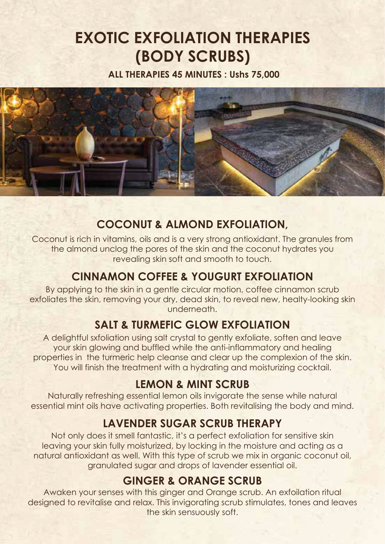# **EXOTIC EXFOLIATION THERAPIES (BODY SCRUBS)**

**ALL THERAPIES 45 MINUTES : Ushs 75,000**



#### **COCONUT & ALMOND EXFOLIATION,**

Coconut is rich in vitamins, oils and is a very strong antioxidant. The granules from the almond unclog the pores of the skin and the coconut hydrates you revealing skin soft and smooth to touch.

#### **CINNAMON COFFEE & YOUGURT EXFOLIATION**

By applying to the skin in a gentle circular motion, coffee cinnamon scrub exfoliates the skin, removing your dry, dead skin, to reveal new, healty-looking skin underneath.

#### **SALT & TURMEFIC GLOW EXFOLIATION**

A delightful sxfoliation using salt crystal to gently exfoliate, soften and leave your skin glowing and buffled while the anti-inflammatory and healing properties in the turmeric help cleanse and clear up the complexion of the skin. You will finish the treatment with a hydrating and moisturizing cocktail.

#### **LEMON & MINT SCRUB**

Naturally refreshing essential lemon oils invigorate the sense while natural essential mint oils have activating properties. Both revitalising the body and mind.

#### **LAVENDER SUGAR SCRUB THERAPY**

Not only does it smell fantastic, it's a perfect exfoliation for sensitive skin leaving your skin fully moisturized, by locking in the moisture and acting as a natural antioxidant as well. With this type of scrub we mix in organic coconut oil, granulated sugar and drops of lavender essential oil.

#### **GINGER & ORANGE SCRUB**

Awaken your senses with this ginger and Orange scrub. An exfoilation ritual designed to revitalise and relax. This invigorating scrub stimulates, tones and leaves the skin sensuously soft.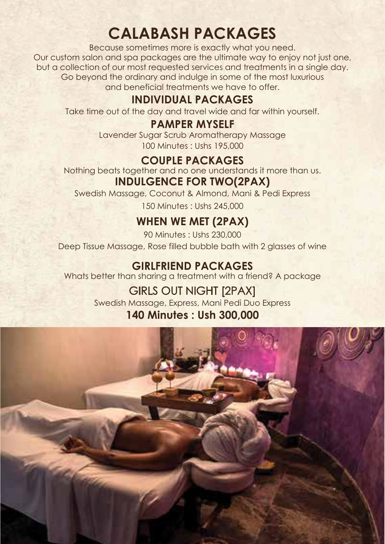# **CALABASH PACKAGES**

Because sometimes more is exactly what you need. Our custom salon and spa packages are the ultimate way to enjoy not just one, but a collection of our most requested services and treatments in a single day. Go beyond the ordinary and indulge in some of the most luxurious and beneficial treatments we have to offer.

#### **INDIVIDUAL PACKAGES**

Take time out of the day and travel wide and far within yourself.

#### **PAMPER MYSELF**

Lavender Sugar Scrub Aromatherapy Massage 100 Minutes : Ushs 195,000

#### **COUPLE PACKAGES**

**INDULGENCE FOR TWO(2PAX)** Nothing beats together and no one understands it more than us.

Swedish Massage, Coconut & Almond, Mani & Pedi Express 150 Minutes : Ushs 245,000

### **WHEN WE MET (2PAX)**

Deep Tissue Massage, Rose filled bubble bath with 2 glasses of wine 90 Minutes : Ushs 230,000

#### **GIRLFRIEND PACKAGES**

Whats better than sharing a treatment with a friend? A package

### GIRLS OUT NIGHT [2PAX]

Swedish Massage, Express, Mani Pedi Duo Express

#### **140 Minutes : Ush 300,000**

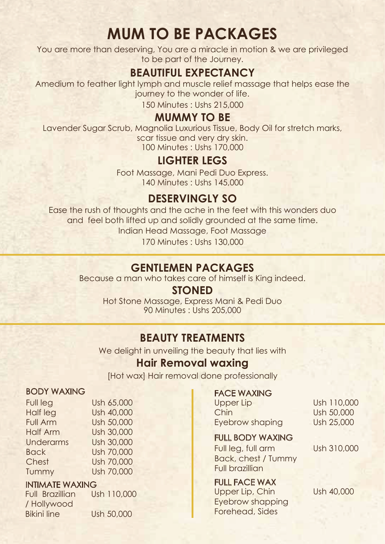# **MUM TO BE PACKAGES**

You are more than deserving, You are a miracle in motion & we are privileged to be part of the Journey.

#### **BEAUTIFUL EXPECTANCY**

Amedium to feather light lymph and muscle relief massage that helps ease the journey to the wonder of life.

150 Minutes : Ushs 215,000

#### **MUMMY TO BE**

Lavender Sugar Scrub, Magnolia Luxurious Tissue, Body Oil for stretch marks, scar tissue and very dry skin. 100 Minutes : Ushs 170,000

#### **LIGHTER LEGS**

Foot Massage, Mani Pedi Duo Express. 140 Minutes : Ushs 145,000

#### **DESERVINGLY SO**

Ease the rush of thoughts and the ache in the feet with this wonders duo and feel both lifted up and solidly grounded at the same time. Indian Head Massage, Foot Massage 170 Minutes : Ushs 130,000

#### **GENTLEMEN PACKAGES**

Because a man who takes care of himself is King indeed.

#### **STONED**

90 Minutes : Ushs 205,000 Hot Stone Massage, Express Mani & Pedi Duo

#### **BEAUTY TREATMENTS**

We delight in unveiling the beauty that lies with

#### **Hair Removal waxing**

[Hot wax] Hair removal done professionally

#### BODY WAXING

| Full leg         | Ush 65,000 |
|------------------|------------|
| Half leg         | Ush 40,000 |
| <b>Full Arm</b>  | Ush 50,000 |
| <b>Half Arm</b>  | Ush 30,000 |
| <b>Underarms</b> | Ush 30,000 |
| <b>Back</b>      | Ush 70,000 |
| Chest            | Ush 70,000 |
| Tummy            | Ush 70,000 |
|                  |            |

## **INTIMATE WAXING**<br>Full Brazillian Ush 110,000

Full Brazillian / Hollywood Bikini line Ush 50,000

## **FACE WAXING**<br>Upper Lip

Chin Ush 50,000 Eyebrow shaping Ush 25,000

Ush 110,000

#### FULL BODY WAXING

Full leg, full arm Ush 310,000 Back, chest / Tummy Full brazillian

#### FULL FACE WAX

Upper Lip, Chin Ush 40,000 Eyebrow shapping Forehead, Sides